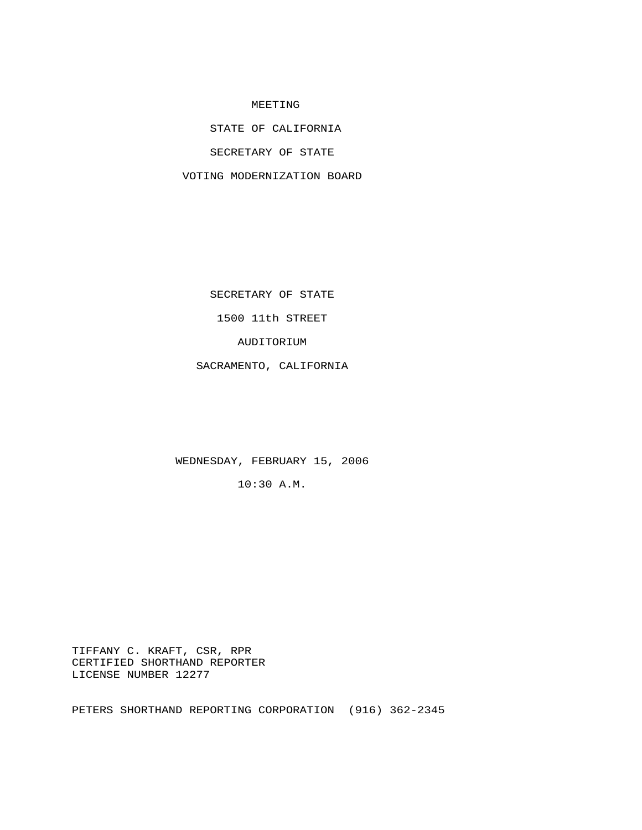## MEETING

STATE OF CALIFORNIA

SECRETARY OF STATE

VOTING MODERNIZATION BOARD

SECRETARY OF STATE

1500 11th STREET

AUDITORIUM

SACRAMENTO, CALIFORNIA

WEDNESDAY, FEBRUARY 15, 2006

10:30 A.M.

 TIFFANY C. KRAFT, CSR, RPR CERTIFIED SHORTHAND REPORTER LICENSE NUMBER 12277

PETERS SHORTHAND REPORTING CORPORATION (916) 362-2345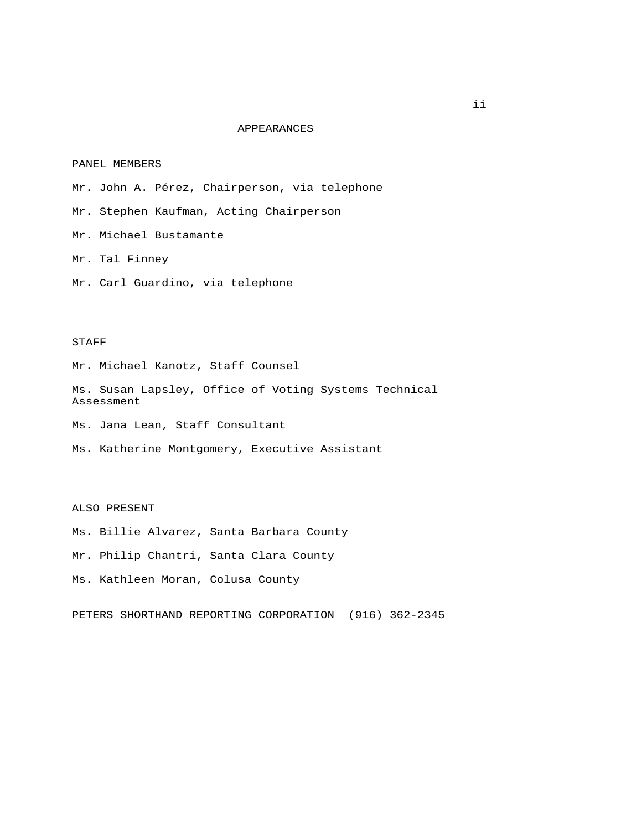## APPEARANCES

## PANEL MEMBERS

Mr. John A. Pérez, Chairperson, via telephone

Mr. Stephen Kaufman, Acting Chairperson

Mr. Michael Bustamante

Mr. Tal Finney

Mr. Carl Guardino, via telephone

## STAFF

Mr. Michael Kanotz, Staff Counsel

 Ms. Susan Lapsley, Office of Voting Systems Technical Assessment

Ms. Jana Lean, Staff Consultant

Ms. Katherine Montgomery, Executive Assistant

ALSO PRESENT

Ms. Billie Alvarez, Santa Barbara County

Mr. Philip Chantri, Santa Clara County

Ms. Kathleen Moran, Colusa County

PETERS SHORTHAND REPORTING CORPORATION (916) 362-2345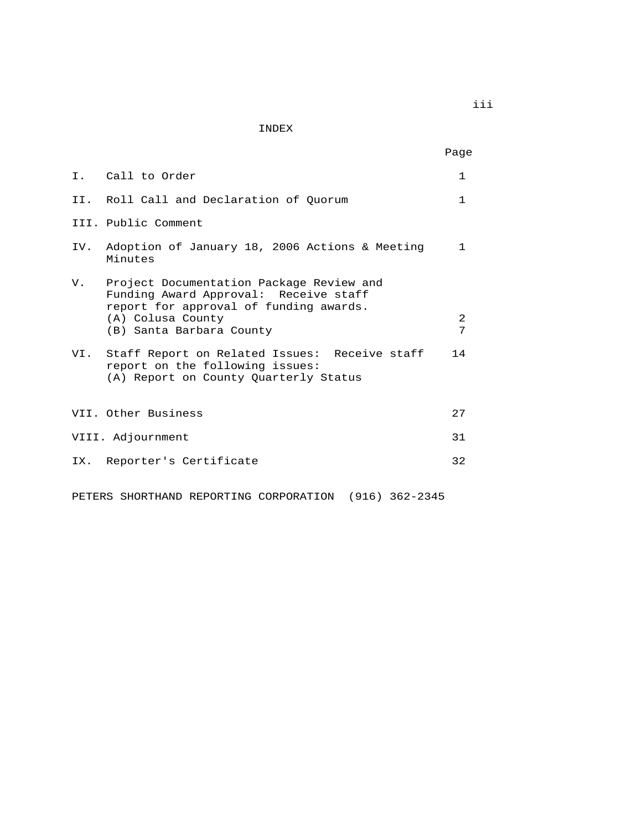INDEX

|  | I. Call to Order                                                                                                                                                                | 1            |
|--|---------------------------------------------------------------------------------------------------------------------------------------------------------------------------------|--------------|
|  | II. Roll Call and Declaration of Ouorum                                                                                                                                         | 1            |
|  | III. Public Comment                                                                                                                                                             |              |
|  | IV. Adoption of January 18, 2006 Actions & Meeting<br>Minutes                                                                                                                   | $\mathbf{1}$ |
|  | V. Project Documentation Package Review and<br>Funding Award Approval: Receive staff<br>report for approval of funding awards.<br>(A) Colusa County<br>(B) Santa Barbara County | 2<br>7       |
|  | VI. Staff Report on Related Issues: Receive staff<br>report on the following issues:<br>(A) Report on County Quarterly Status                                                   | 14           |
|  | VII. Other Business                                                                                                                                                             | 27           |
|  | VIII. Adjournment                                                                                                                                                               | 31           |
|  | IX. Reporter's Certificate                                                                                                                                                      | 32           |
|  |                                                                                                                                                                                 |              |

PETERS SHORTHAND REPORTING CORPORATION (916) 362-2345

iii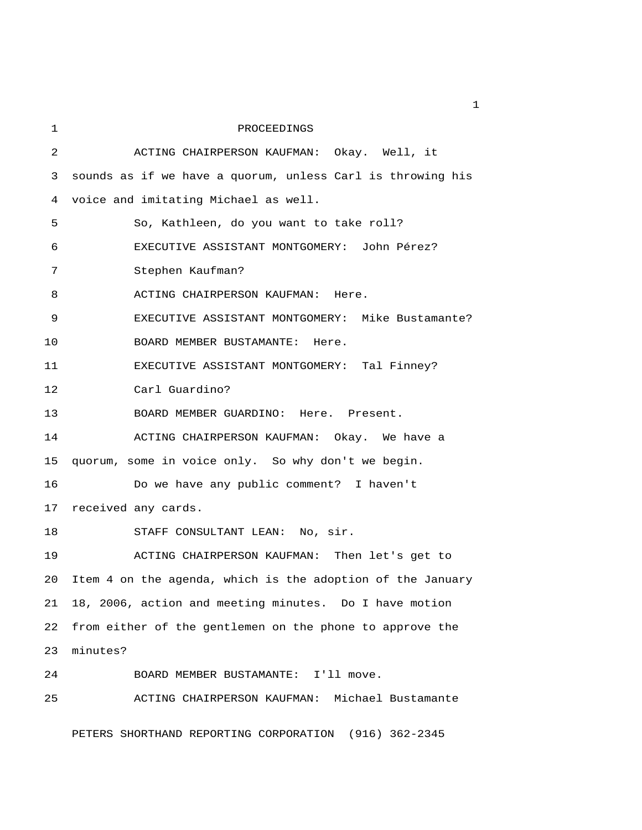| 1  | PROCEEDINGS                                                |
|----|------------------------------------------------------------|
| 2  | ACTING CHAIRPERSON KAUFMAN: Okay. Well, it                 |
| 3  | sounds as if we have a quorum, unless Carl is throwing his |
| 4  | voice and imitating Michael as well.                       |
| 5  | So, Kathleen, do you want to take roll?                    |
| 6  | EXECUTIVE ASSISTANT MONTGOMERY: John Pérez?                |
| 7  | Stephen Kaufman?                                           |
| 8  | ACTING CHAIRPERSON KAUFMAN: Here.                          |
| 9  | EXECUTIVE ASSISTANT MONTGOMERY: Mike Bustamante?           |
| 10 | BOARD MEMBER BUSTAMANTE: Here.                             |
| 11 | EXECUTIVE ASSISTANT MONTGOMERY: Tal Finney?                |
| 12 | Carl Guardino?                                             |
| 13 | BOARD MEMBER GUARDINO: Here. Present.                      |
| 14 | ACTING CHAIRPERSON KAUFMAN: Okay. We have a                |
| 15 | quorum, some in voice only. So why don't we begin.         |
| 16 | Do we have any public comment? I haven't                   |
| 17 | received any cards.                                        |
| 18 | STAFF CONSULTANT LEAN: No, sir.                            |
| 19 | ACTING CHAIRPERSON KAUFMAN: Then let's get to              |
| 20 | Item 4 on the agenda, which is the adoption of the January |
| 21 | 18, 2006, action and meeting minutes. Do I have motion     |
| 22 | from either of the gentlemen on the phone to approve the   |
| 23 | minutes?                                                   |
| 24 | BOARD MEMBER BUSTAMANTE:<br>I'll move.                     |
| 25 | ACTING CHAIRPERSON KAUFMAN: Michael Bustamante             |
|    |                                                            |

PETERS SHORTHAND REPORTING CORPORATION (916) 362-2345

 $\mathbf{1}$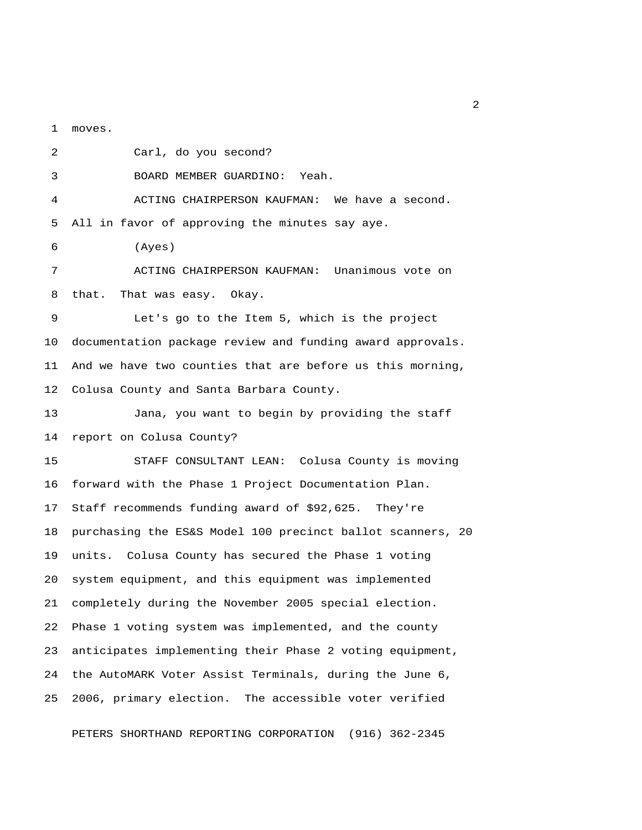1 moves.

 2 Carl, do you second? 3 BOARD MEMBER GUARDINO: Yeah. 4 ACTING CHAIRPERSON KAUFMAN: We have a second. 5 All in favor of approving the minutes say aye. 6 (Ayes) 7 ACTING CHAIRPERSON KAUFMAN: Unanimous vote on 8 that. That was easy. Okay. 9 Let's go to the Item 5, which is the project 10 documentation package review and funding award approvals. 11 And we have two counties that are before us this morning, 12 Colusa County and Santa Barbara County. 13 Jana, you want to begin by providing the staff 14 report on Colusa County? 15 STAFF CONSULTANT LEAN: Colusa County is moving 16 forward with the Phase 1 Project Documentation Plan. 17 Staff recommends funding award of \$92,625. They're 18 purchasing the ES&S Model 100 precinct ballot scanners, 20 19 units. Colusa County has secured the Phase 1 voting 20 system equipment, and this equipment was implemented 21 completely during the November 2005 special election. 22 Phase 1 voting system was implemented, and the county 23 anticipates implementing their Phase 2 voting equipment, 24 the AutoMARK Voter Assist Terminals, during the June 6, 25 2006, primary election. The accessible voter verified

PETERS SHORTHAND REPORTING CORPORATION (916) 362-2345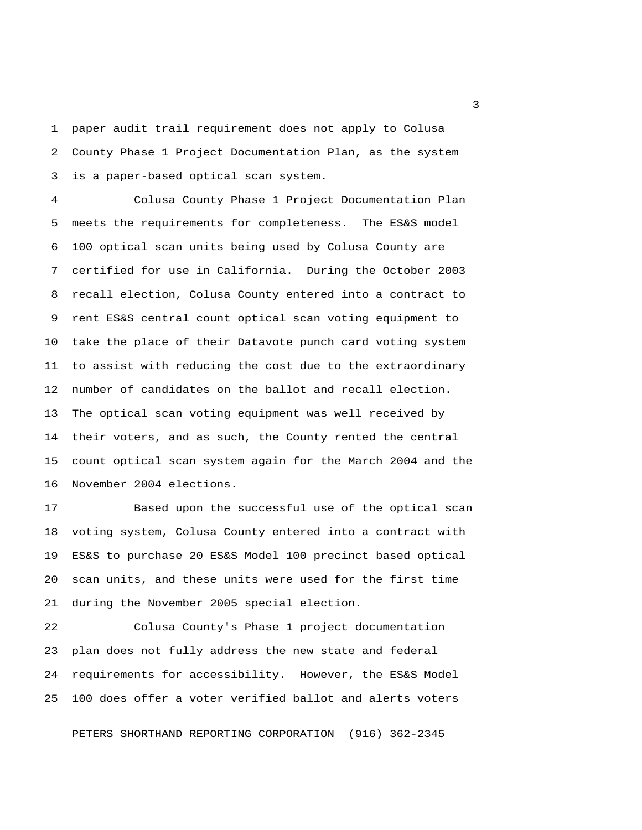1 paper audit trail requirement does not apply to Colusa 2 County Phase 1 Project Documentation Plan, as the system 3 is a paper-based optical scan system.

 4 Colusa County Phase 1 Project Documentation Plan 5 meets the requirements for completeness. The ES&S model 6 100 optical scan units being used by Colusa County are 7 certified for use in California. During the October 2003 8 recall election, Colusa County entered into a contract to 9 rent ES&S central count optical scan voting equipment to 10 take the place of their Datavote punch card voting system 11 to assist with reducing the cost due to the extraordinary 12 number of candidates on the ballot and recall election. 13 The optical scan voting equipment was well received by 14 their voters, and as such, the County rented the central 15 count optical scan system again for the March 2004 and the 16 November 2004 elections.

17 Based upon the successful use of the optical scan 18 voting system, Colusa County entered into a contract with 19 ES&S to purchase 20 ES&S Model 100 precinct based optical 20 scan units, and these units were used for the first time 21 during the November 2005 special election.

22 Colusa County's Phase 1 project documentation 23 plan does not fully address the new state and federal 24 requirements for accessibility. However, the ES&S Model 25 100 does offer a voter verified ballot and alerts voters

PETERS SHORTHAND REPORTING CORPORATION (916) 362-2345

 $\overline{\mathbf{3}}$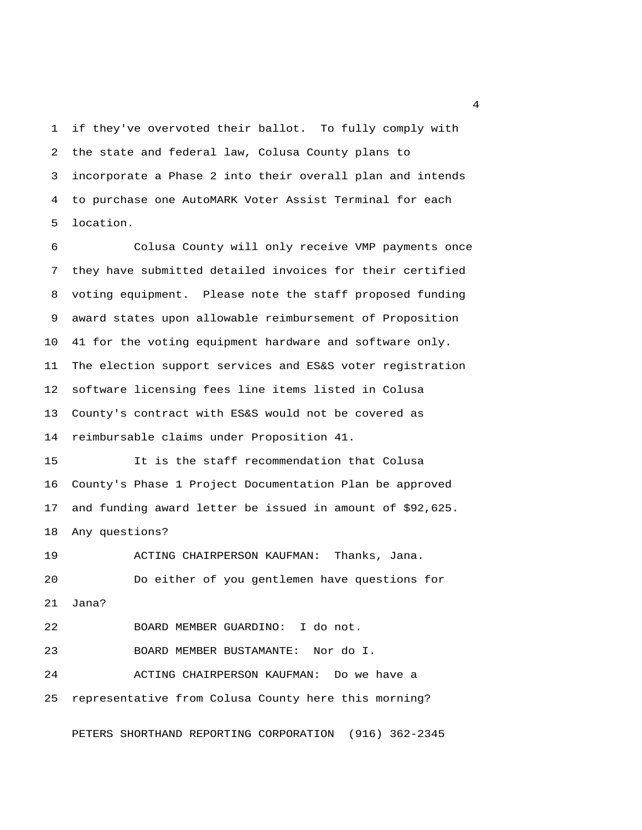1 if they've overvoted their ballot. To fully comply with 2 the state and federal law, Colusa County plans to 3 incorporate a Phase 2 into their overall plan and intends 4 to purchase one AutoMARK Voter Assist Terminal for each 5 location.

 6 Colusa County will only receive VMP payments once 7 they have submitted detailed invoices for their certified 8 voting equipment. Please note the staff proposed funding 9 award states upon allowable reimbursement of Proposition 10 41 for the voting equipment hardware and software only. 11 The election support services and ES&S voter registration 12 software licensing fees line items listed in Colusa 13 County's contract with ES&S would not be covered as 14 reimbursable claims under Proposition 41.

15 It is the staff recommendation that Colusa 16 County's Phase 1 Project Documentation Plan be approved 17 and funding award letter be issued in amount of \$92,625. 18 Any questions?

19 ACTING CHAIRPERSON KAUFMAN: Thanks, Jana. 20 Do either of you gentlemen have questions for 21 Jana?

22 BOARD MEMBER GUARDINO: I do not.

23 BOARD MEMBER BUSTAMANTE: Nor do I.

24 ACTING CHAIRPERSON KAUFMAN: Do we have a 25 representative from Colusa County here this morning?

PETERS SHORTHAND REPORTING CORPORATION (916) 362-2345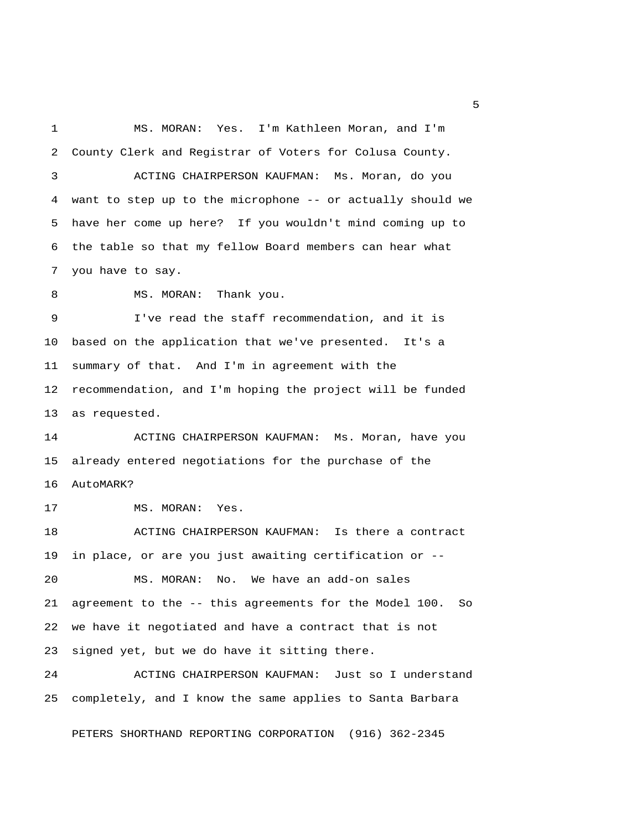1 MS. MORAN: Yes. I'm Kathleen Moran, and I'm 2 County Clerk and Registrar of Voters for Colusa County. 3 ACTING CHAIRPERSON KAUFMAN: Ms. Moran, do you 4 want to step up to the microphone -- or actually should we 5 have her come up here? If you wouldn't mind coming up to 6 the table so that my fellow Board members can hear what 7 you have to say. 8 MS. MORAN: Thank you. 9 I've read the staff recommendation, and it is 10 based on the application that we've presented. It's a 11 summary of that. And I'm in agreement with the 12 recommendation, and I'm hoping the project will be funded 13 as requested. 14 ACTING CHAIRPERSON KAUFMAN: Ms. Moran, have you 15 already entered negotiations for the purchase of the 16 AutoMARK? 17 MS. MORAN: Yes. 18 ACTING CHAIRPERSON KAUFMAN: Is there a contract 19 in place, or are you just awaiting certification or -- 20 MS. MORAN: No. We have an add-on sales 21 agreement to the -- this agreements for the Model 100. So 22 we have it negotiated and have a contract that is not 23 signed yet, but we do have it sitting there. 24 ACTING CHAIRPERSON KAUFMAN: Just so I understand 25 completely, and I know the same applies to Santa Barbara

PETERS SHORTHAND REPORTING CORPORATION (916) 362-2345

 $\sim$  5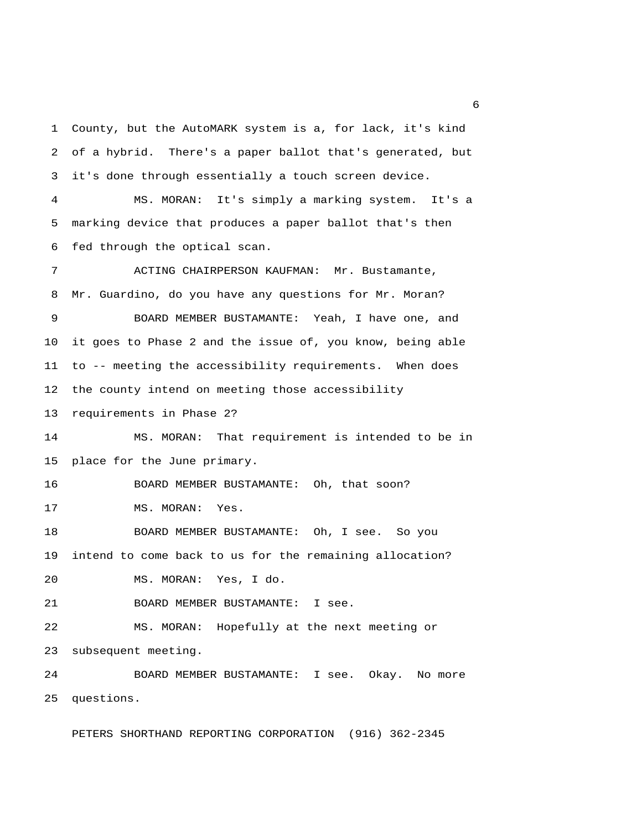1 County, but the AutoMARK system is a, for lack, it's kind 2 of a hybrid. There's a paper ballot that's generated, but 3 it's done through essentially a touch screen device. 4 MS. MORAN: It's simply a marking system. It's a 5 marking device that produces a paper ballot that's then 6 fed through the optical scan. 7 ACTING CHAIRPERSON KAUFMAN: Mr. Bustamante, 8 Mr. Guardino, do you have any questions for Mr. Moran? 9 BOARD MEMBER BUSTAMANTE: Yeah, I have one, and 10 it goes to Phase 2 and the issue of, you know, being able 11 to -- meeting the accessibility requirements. When does 12 the county intend on meeting those accessibility 13 requirements in Phase 2? 14 MS. MORAN: That requirement is intended to be in 15 place for the June primary. 16 BOARD MEMBER BUSTAMANTE: Oh, that soon? 17 MS. MORAN: Yes. 18 BOARD MEMBER BUSTAMANTE: Oh, I see. So you 19 intend to come back to us for the remaining allocation? 20 MS. MORAN: Yes, I do. 21 BOARD MEMBER BUSTAMANTE: I see. 22 MS. MORAN: Hopefully at the next meeting or 23 subsequent meeting. 24 BOARD MEMBER BUSTAMANTE: I see. Okay. No more 25 questions.

PETERS SHORTHAND REPORTING CORPORATION (916) 362-2345

 $6<sup>6</sup>$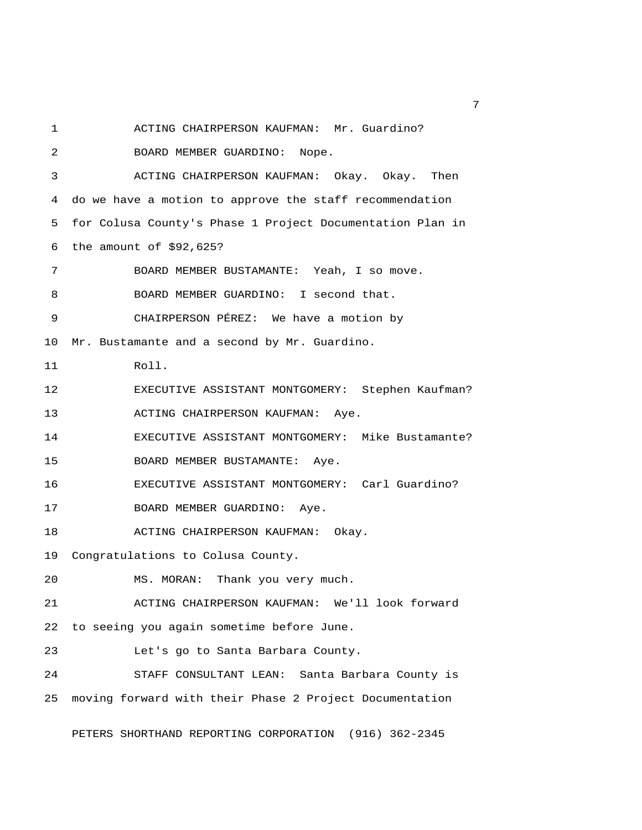1 ACTING CHAIRPERSON KAUFMAN: Mr. Guardino?

2 BOARD MEMBER GUARDINO: Nope.

 3 ACTING CHAIRPERSON KAUFMAN: Okay. Okay. Then 4 do we have a motion to approve the staff recommendation 5 for Colusa County's Phase 1 Project Documentation Plan in 6 the amount of \$92,625?

7 BOARD MEMBER BUSTAMANTE: Yeah, I so move.

8 BOARD MEMBER GUARDINO: I second that.

9 CHAIRPERSON PÉREZ: We have a motion by

10 Mr. Bustamante and a second by Mr. Guardino.

11 Roll.

12 EXECUTIVE ASSISTANT MONTGOMERY: Stephen Kaufman?

13 ACTING CHAIRPERSON KAUFMAN: Aye.

14 EXECUTIVE ASSISTANT MONTGOMERY: Mike Bustamante?

15 BOARD MEMBER BUSTAMANTE: Aye.

16 EXECUTIVE ASSISTANT MONTGOMERY: Carl Guardino?

17 BOARD MEMBER GUARDINO: Aye.

18 ACTING CHAIRPERSON KAUFMAN: Okay.

19 Congratulations to Colusa County.

20 MS. MORAN: Thank you very much.

21 ACTING CHAIRPERSON KAUFMAN: We'll look forward 22 to seeing you again sometime before June.

23 Let's go to Santa Barbara County.

24 STAFF CONSULTANT LEAN: Santa Barbara County is 25 moving forward with their Phase 2 Project Documentation

PETERS SHORTHAND REPORTING CORPORATION (916) 362-2345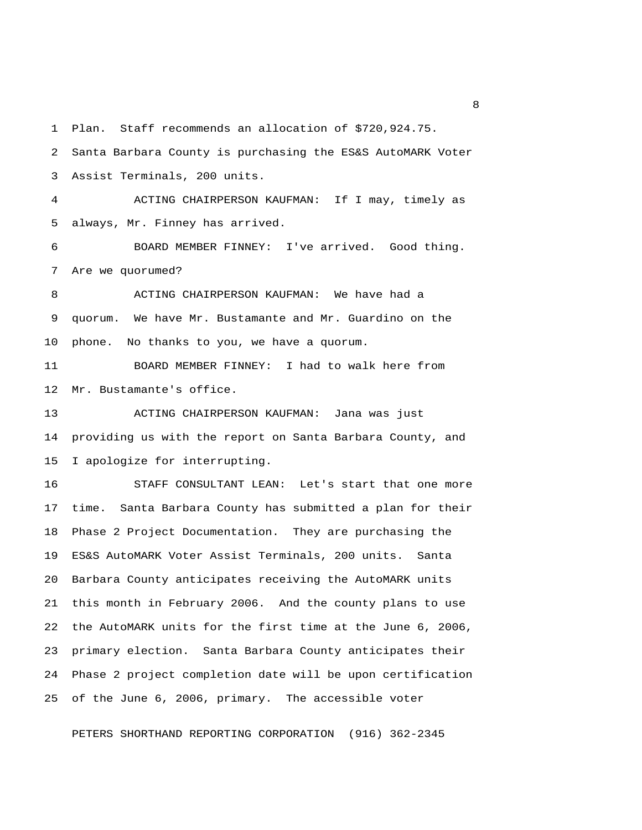1 Plan. Staff recommends an allocation of \$720,924.75.

 2 Santa Barbara County is purchasing the ES&S AutoMARK Voter 3 Assist Terminals, 200 units. 4 ACTING CHAIRPERSON KAUFMAN: If I may, timely as

6 BOARD MEMBER FINNEY: I've arrived. Good thing.

7 Are we quorumed?

5 always, Mr. Finney has arrived.

 8 ACTING CHAIRPERSON KAUFMAN: We have had a 9 quorum. We have Mr. Bustamante and Mr. Guardino on the 10 phone. No thanks to you, we have a quorum.

11 BOARD MEMBER FINNEY: I had to walk here from 12 Mr. Bustamante's office.

13 ACTING CHAIRPERSON KAUFMAN: Jana was just 14 providing us with the report on Santa Barbara County, and 15 I apologize for interrupting.

16 STAFF CONSULTANT LEAN: Let's start that one more 17 time. Santa Barbara County has submitted a plan for their 18 Phase 2 Project Documentation. They are purchasing the 19 ES&S AutoMARK Voter Assist Terminals, 200 units. Santa 20 Barbara County anticipates receiving the AutoMARK units 21 this month in February 2006. And the county plans to use 22 the AutoMARK units for the first time at the June 6, 2006, 23 primary election. Santa Barbara County anticipates their 24 Phase 2 project completion date will be upon certification 25 of the June 6, 2006, primary. The accessible voter

PETERS SHORTHAND REPORTING CORPORATION (916) 362-2345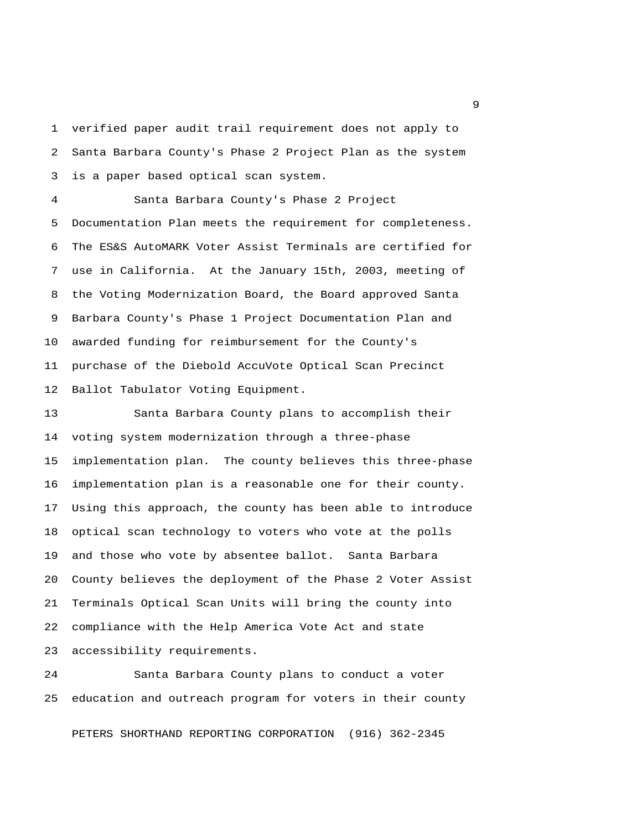1 verified paper audit trail requirement does not apply to 2 Santa Barbara County's Phase 2 Project Plan as the system 3 is a paper based optical scan system.

 4 Santa Barbara County's Phase 2 Project 5 Documentation Plan meets the requirement for completeness. 6 The ES&S AutoMARK Voter Assist Terminals are certified for 7 use in California. At the January 15th, 2003, meeting of 8 the Voting Modernization Board, the Board approved Santa 9 Barbara County's Phase 1 Project Documentation Plan and 10 awarded funding for reimbursement for the County's 11 purchase of the Diebold AccuVote Optical Scan Precinct 12 Ballot Tabulator Voting Equipment.

13 Santa Barbara County plans to accomplish their 14 voting system modernization through a three-phase 15 implementation plan. The county believes this three-phase 16 implementation plan is a reasonable one for their county. 17 Using this approach, the county has been able to introduce 18 optical scan technology to voters who vote at the polls 19 and those who vote by absentee ballot. Santa Barbara 20 County believes the deployment of the Phase 2 Voter Assist 21 Terminals Optical Scan Units will bring the county into 22 compliance with the Help America Vote Act and state 23 accessibility requirements.

24 Santa Barbara County plans to conduct a voter 25 education and outreach program for voters in their county

PETERS SHORTHAND REPORTING CORPORATION (916) 362-2345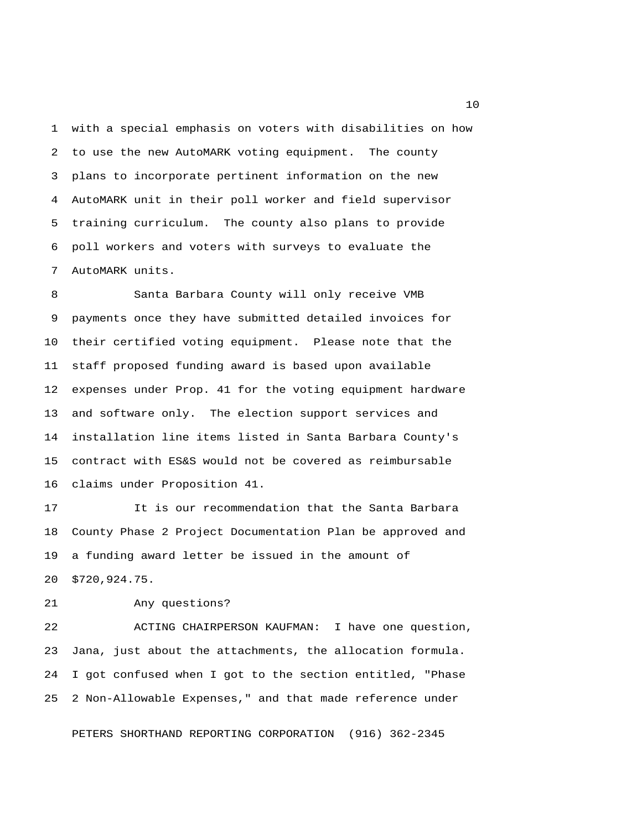1 with a special emphasis on voters with disabilities on how 2 to use the new AutoMARK voting equipment. The county 3 plans to incorporate pertinent information on the new 4 AutoMARK unit in their poll worker and field supervisor 5 training curriculum. The county also plans to provide 6 poll workers and voters with surveys to evaluate the 7 AutoMARK units.

 8 Santa Barbara County will only receive VMB 9 payments once they have submitted detailed invoices for 10 their certified voting equipment. Please note that the 11 staff proposed funding award is based upon available 12 expenses under Prop. 41 for the voting equipment hardware 13 and software only. The election support services and 14 installation line items listed in Santa Barbara County's 15 contract with ES&S would not be covered as reimbursable 16 claims under Proposition 41.

17 It is our recommendation that the Santa Barbara 18 County Phase 2 Project Documentation Plan be approved and 19 a funding award letter be issued in the amount of 20 \$720,924.75.

21 Any questions?

22 ACTING CHAIRPERSON KAUFMAN: I have one question, 23 Jana, just about the attachments, the allocation formula. 24 I got confused when I got to the section entitled, "Phase 25 2 Non-Allowable Expenses," and that made reference under

PETERS SHORTHAND REPORTING CORPORATION (916) 362-2345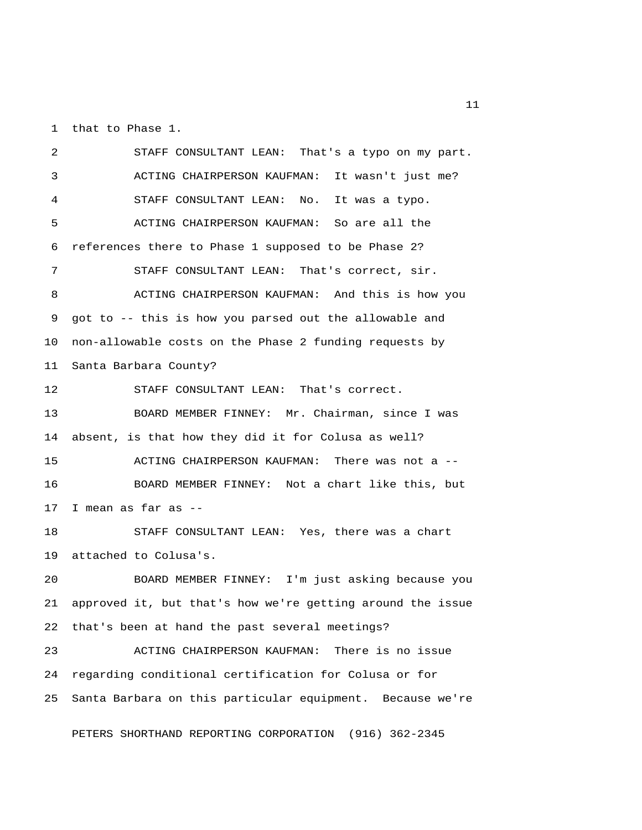1 that to Phase 1.

 2 STAFF CONSULTANT LEAN: That's a typo on my part. 3 ACTING CHAIRPERSON KAUFMAN: It wasn't just me? 4 STAFF CONSULTANT LEAN: No. It was a typo. 5 ACTING CHAIRPERSON KAUFMAN: So are all the 6 references there to Phase 1 supposed to be Phase 2? 7 STAFF CONSULTANT LEAN: That's correct, sir. 8 ACTING CHAIRPERSON KAUFMAN: And this is how you 9 got to -- this is how you parsed out the allowable and 10 non-allowable costs on the Phase 2 funding requests by 11 Santa Barbara County? 12 STAFF CONSULTANT LEAN: That's correct. 13 BOARD MEMBER FINNEY: Mr. Chairman, since I was 14 absent, is that how they did it for Colusa as well? 15 ACTING CHAIRPERSON KAUFMAN: There was not a -- 16 BOARD MEMBER FINNEY: Not a chart like this, but 17 I mean as far as -- 18 STAFF CONSULTANT LEAN: Yes, there was a chart 19 attached to Colusa's. 20 BOARD MEMBER FINNEY: I'm just asking because you 21 approved it, but that's how we're getting around the issue 22 that's been at hand the past several meetings? 23 ACTING CHAIRPERSON KAUFMAN: There is no issue 24 regarding conditional certification for Colusa or for 25 Santa Barbara on this particular equipment. Because we're

PETERS SHORTHAND REPORTING CORPORATION (916) 362-2345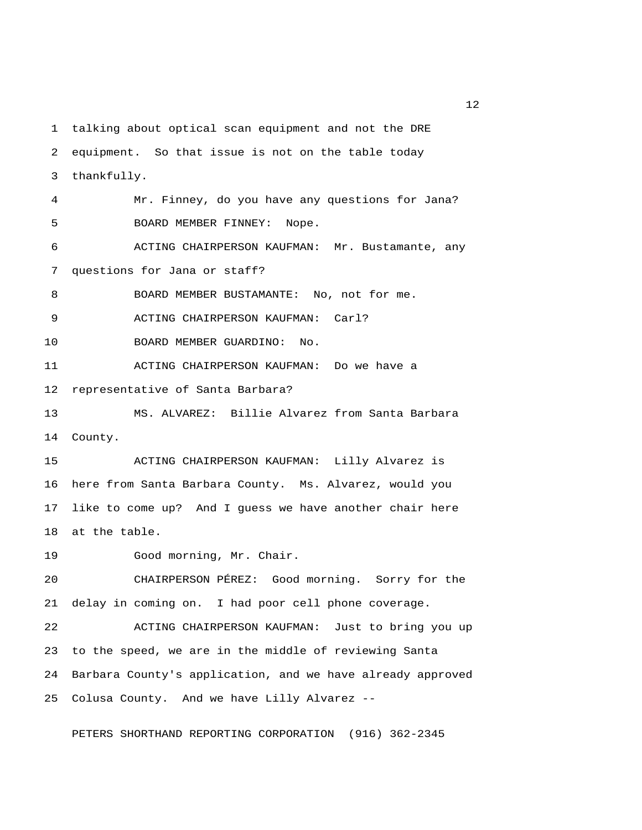1 talking about optical scan equipment and not the DRE 2 equipment. So that issue is not on the table today 3 thankfully. 4 Mr. Finney, do you have any questions for Jana? 5 BOARD MEMBER FINNEY: Nope. 6 ACTING CHAIRPERSON KAUFMAN: Mr. Bustamante, any 7 questions for Jana or staff? 8 BOARD MEMBER BUSTAMANTE: No, not for me. 9 ACTING CHAIRPERSON KAUFMAN: Carl? 10 BOARD MEMBER GUARDINO: No. 11 ACTING CHAIRPERSON KAUFMAN: Do we have a 12 representative of Santa Barbara? 13 MS. ALVAREZ: Billie Alvarez from Santa Barbara 14 County. 15 ACTING CHAIRPERSON KAUFMAN: Lilly Alvarez is 16 here from Santa Barbara County. Ms. Alvarez, would you 17 like to come up? And I guess we have another chair here 18 at the table. 19 Good morning, Mr. Chair. 20 CHAIRPERSON PÉREZ: Good morning. Sorry for the 21 delay in coming on. I had poor cell phone coverage. 22 ACTING CHAIRPERSON KAUFMAN: Just to bring you up 23 to the speed, we are in the middle of reviewing Santa 24 Barbara County's application, and we have already approved 25 Colusa County. And we have Lilly Alvarez --

PETERS SHORTHAND REPORTING CORPORATION (916) 362-2345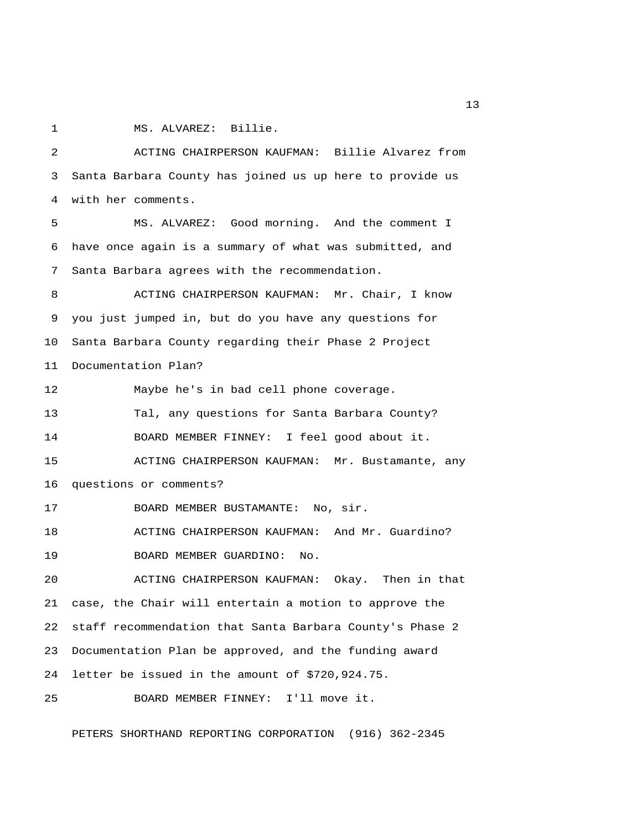1 MS. ALVAREZ: Billie.

 2 ACTING CHAIRPERSON KAUFMAN: Billie Alvarez from 3 Santa Barbara County has joined us up here to provide us 4 with her comments.

 5 MS. ALVAREZ: Good morning. And the comment I 6 have once again is a summary of what was submitted, and 7 Santa Barbara agrees with the recommendation.

 8 ACTING CHAIRPERSON KAUFMAN: Mr. Chair, I know 9 you just jumped in, but do you have any questions for 10 Santa Barbara County regarding their Phase 2 Project 11 Documentation Plan?

12 Maybe he's in bad cell phone coverage. 13 Tal, any questions for Santa Barbara County? 14 BOARD MEMBER FINNEY: I feel good about it. 15 ACTING CHAIRPERSON KAUFMAN: Mr. Bustamante, any 16 questions or comments? 17 BOARD MEMBER BUSTAMANTE: No, sir. 18 ACTING CHAIRPERSON KAUFMAN: And Mr. Guardino?

19 BOARD MEMBER GUARDINO: No.

20 ACTING CHAIRPERSON KAUFMAN: Okay. Then in that 21 case, the Chair will entertain a motion to approve the 22 staff recommendation that Santa Barbara County's Phase 2 23 Documentation Plan be approved, and the funding award 24 letter be issued in the amount of \$720,924.75.

25 BOARD MEMBER FINNEY: I'll move it.

PETERS SHORTHAND REPORTING CORPORATION (916) 362-2345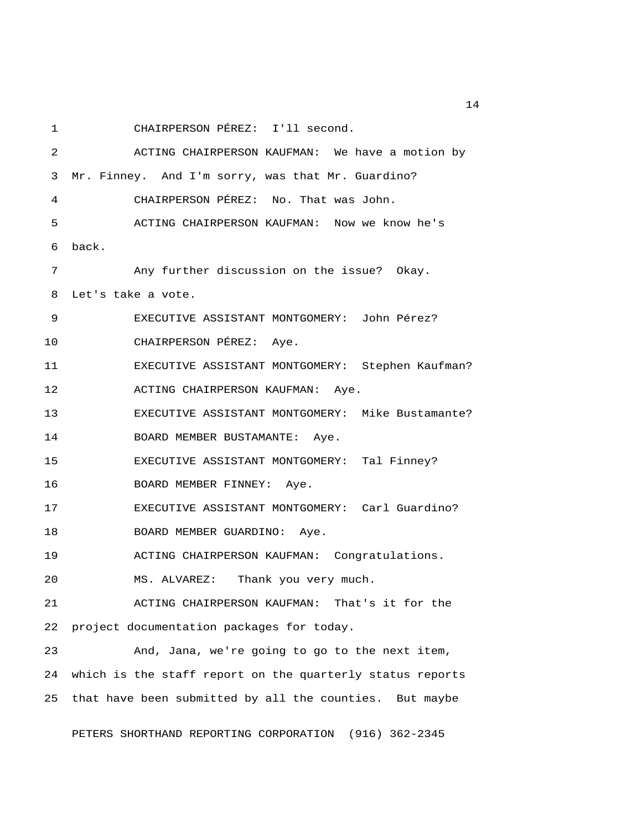1 CHAIRPERSON PÉREZ: I'll second.

 2 ACTING CHAIRPERSON KAUFMAN: We have a motion by 3 Mr. Finney. And I'm sorry, was that Mr. Guardino? 4 CHAIRPERSON PÉREZ: No. That was John. 5 ACTING CHAIRPERSON KAUFMAN: Now we know he's 6 back. 7 Any further discussion on the issue? Okay. 8 Let's take a vote. 9 EXECUTIVE ASSISTANT MONTGOMERY: John Pérez? 10 CHAIRPERSON PÉREZ: Aye. 11 EXECUTIVE ASSISTANT MONTGOMERY: Stephen Kaufman? 12 ACTING CHAIRPERSON KAUFMAN: Aye. 13 EXECUTIVE ASSISTANT MONTGOMERY: Mike Bustamante? 14 BOARD MEMBER BUSTAMANTE: Aye. 15 EXECUTIVE ASSISTANT MONTGOMERY: Tal Finney? 16 BOARD MEMBER FINNEY: Aye. 17 EXECUTIVE ASSISTANT MONTGOMERY: Carl Guardino? 18 BOARD MEMBER GUARDINO: Aye. 19 ACTING CHAIRPERSON KAUFMAN: Congratulations. 20 MS. ALVAREZ: Thank you very much. 21 ACTING CHAIRPERSON KAUFMAN: That's it for the 22 project documentation packages for today. 23 And, Jana, we're going to go to the next item, 24 which is the staff report on the quarterly status reports 25 that have been submitted by all the counties. But maybe

PETERS SHORTHAND REPORTING CORPORATION (916) 362-2345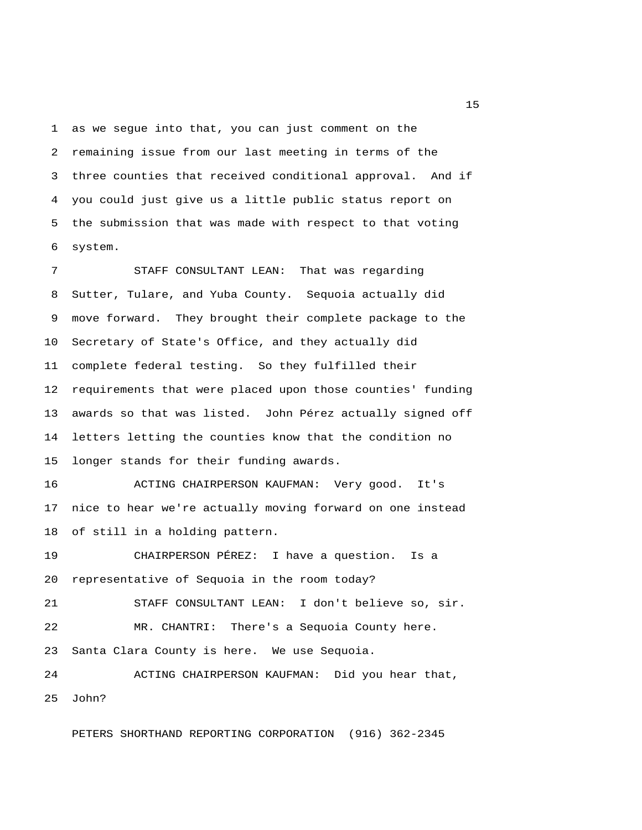1 as we segue into that, you can just comment on the 2 remaining issue from our last meeting in terms of the 3 three counties that received conditional approval. And if 4 you could just give us a little public status report on 5 the submission that was made with respect to that voting 6 system.

 7 STAFF CONSULTANT LEAN: That was regarding 8 Sutter, Tulare, and Yuba County. Sequoia actually did 9 move forward. They brought their complete package to the 10 Secretary of State's Office, and they actually did 11 complete federal testing. So they fulfilled their 12 requirements that were placed upon those counties' funding 13 awards so that was listed. John Pérez actually signed off 14 letters letting the counties know that the condition no 15 longer stands for their funding awards.

16 ACTING CHAIRPERSON KAUFMAN: Very good. It's 17 nice to hear we're actually moving forward on one instead 18 of still in a holding pattern.

19 CHAIRPERSON PÉREZ: I have a question. Is a 20 representative of Sequoia in the room today? 21 STAFF CONSULTANT LEAN: I don't believe so, sir. 22 MR. CHANTRI: There's a Sequoia County here. 23 Santa Clara County is here. We use Sequoia. 24 ACTING CHAIRPERSON KAUFMAN: Did you hear that,

25 John?

PETERS SHORTHAND REPORTING CORPORATION (916) 362-2345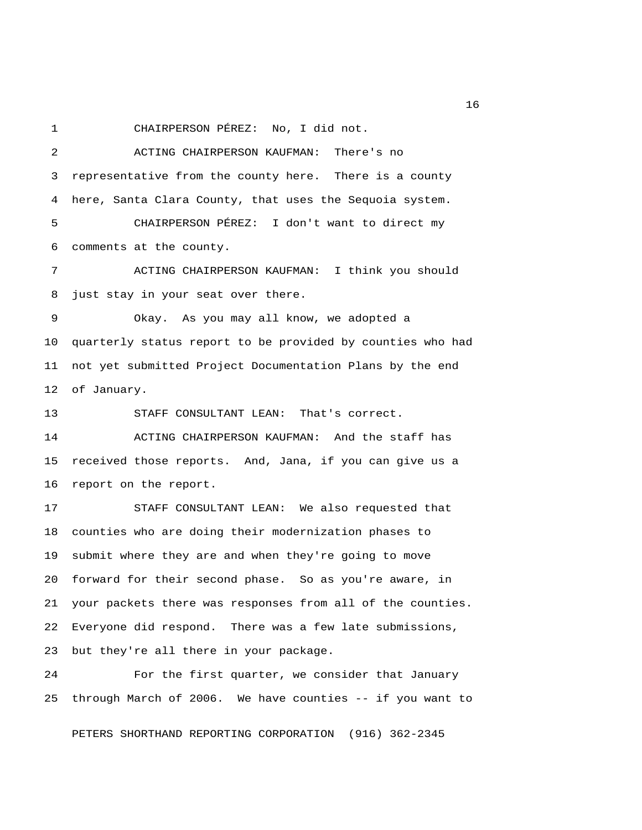1 CHAIRPERSON PÉREZ: No, I did not.

 2 ACTING CHAIRPERSON KAUFMAN: There's no 3 representative from the county here. There is a county 4 here, Santa Clara County, that uses the Sequoia system. 5 CHAIRPERSON PÉREZ: I don't want to direct my 6 comments at the county. 7 ACTING CHAIRPERSON KAUFMAN: I think you should 8 just stay in your seat over there. 9 Okay. As you may all know, we adopted a 10 quarterly status report to be provided by counties who had 11 not yet submitted Project Documentation Plans by the end 12 of January. 13 STAFF CONSULTANT LEAN: That's correct. 14 ACTING CHAIRPERSON KAUFMAN: And the staff has 15 received those reports. And, Jana, if you can give us a 16 report on the report. 17 STAFF CONSULTANT LEAN: We also requested that 18 counties who are doing their modernization phases to 19 submit where they are and when they're going to move 20 forward for their second phase. So as you're aware, in 21 your packets there was responses from all of the counties. 22 Everyone did respond. There was a few late submissions, 23 but they're all there in your package.

24 For the first quarter, we consider that January 25 through March of 2006. We have counties -- if you want to

PETERS SHORTHAND REPORTING CORPORATION (916) 362-2345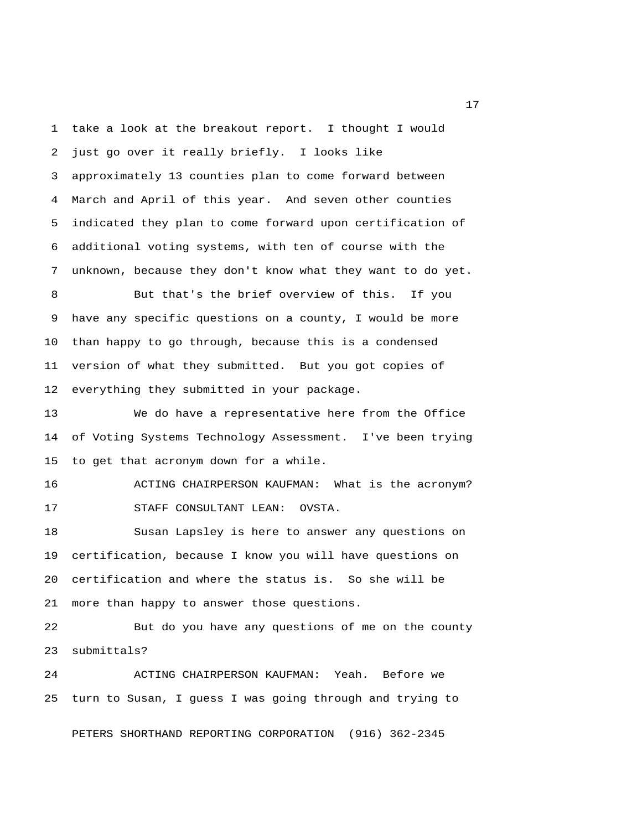1 take a look at the breakout report. I thought I would 2 just go over it really briefly. I looks like 3 approximately 13 counties plan to come forward between 4 March and April of this year. And seven other counties 5 indicated they plan to come forward upon certification of 6 additional voting systems, with ten of course with the 7 unknown, because they don't know what they want to do yet.

 8 But that's the brief overview of this. If you 9 have any specific questions on a county, I would be more 10 than happy to go through, because this is a condensed 11 version of what they submitted. But you got copies of 12 everything they submitted in your package.

13 We do have a representative here from the Office 14 of Voting Systems Technology Assessment. I've been trying 15 to get that acronym down for a while.

16 ACTING CHAIRPERSON KAUFMAN: What is the acronym? 17 STAFF CONSULTANT LEAN: OVSTA.

18 Susan Lapsley is here to answer any questions on 19 certification, because I know you will have questions on 20 certification and where the status is. So she will be 21 more than happy to answer those questions.

22 But do you have any questions of me on the county 23 submittals?

24 ACTING CHAIRPERSON KAUFMAN: Yeah. Before we 25 turn to Susan, I guess I was going through and trying to

PETERS SHORTHAND REPORTING CORPORATION (916) 362-2345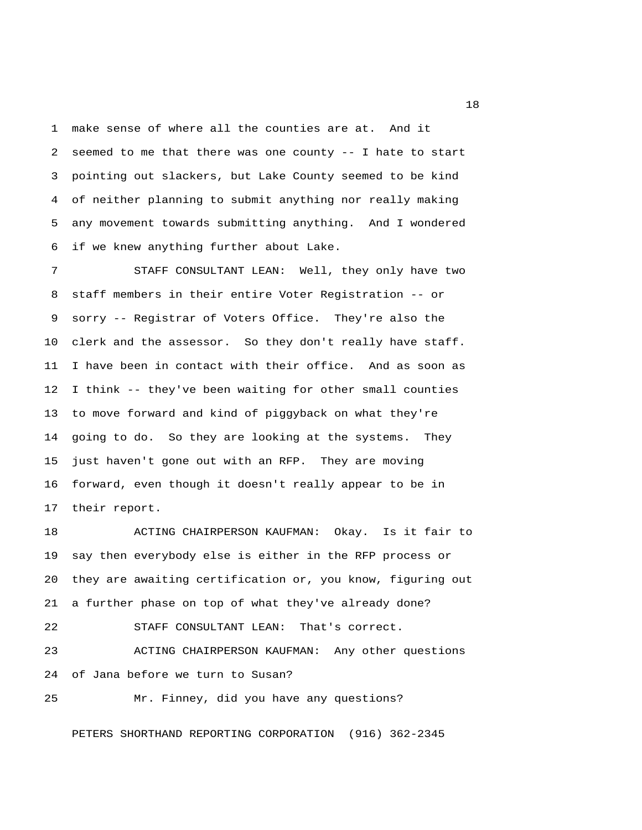1 make sense of where all the counties are at. And it 2 seemed to me that there was one county -- I hate to start 3 pointing out slackers, but Lake County seemed to be kind 4 of neither planning to submit anything nor really making 5 any movement towards submitting anything. And I wondered 6 if we knew anything further about Lake.

 7 STAFF CONSULTANT LEAN: Well, they only have two 8 staff members in their entire Voter Registration -- or 9 sorry -- Registrar of Voters Office. They're also the 10 clerk and the assessor. So they don't really have staff. 11 I have been in contact with their office. And as soon as 12 I think -- they've been waiting for other small counties 13 to move forward and kind of piggyback on what they're 14 going to do. So they are looking at the systems. They 15 just haven't gone out with an RFP. They are moving 16 forward, even though it doesn't really appear to be in 17 their report.

18 ACTING CHAIRPERSON KAUFMAN: Okay. Is it fair to 19 say then everybody else is either in the RFP process or 20 they are awaiting certification or, you know, figuring out 21 a further phase on top of what they've already done? 22 STAFF CONSULTANT LEAN: That's correct. 23 ACTING CHAIRPERSON KAUFMAN: Any other questions 24 of Jana before we turn to Susan? 25 Mr. Finney, did you have any questions?

PETERS SHORTHAND REPORTING CORPORATION (916) 362-2345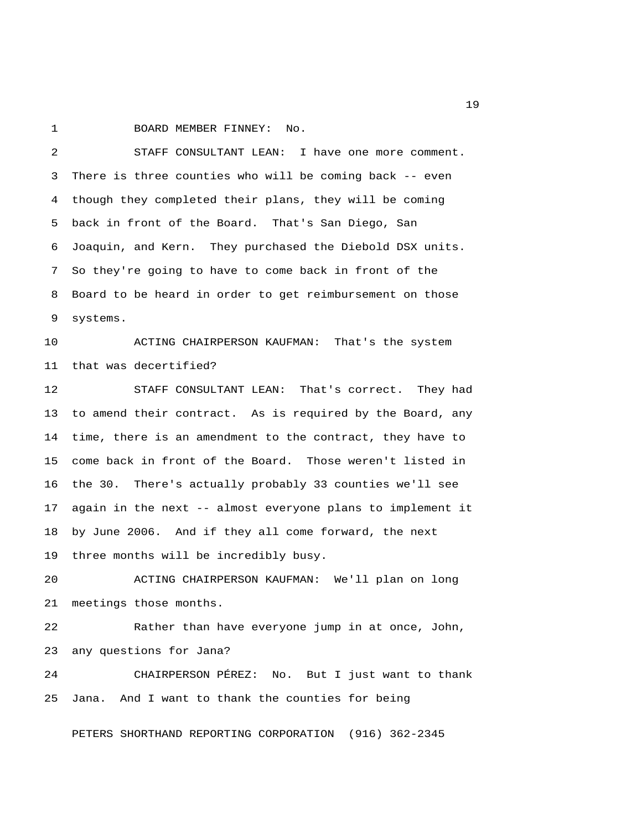1 BOARD MEMBER FINNEY: No.

 2 STAFF CONSULTANT LEAN: I have one more comment. 3 There is three counties who will be coming back -- even 4 though they completed their plans, they will be coming 5 back in front of the Board. That's San Diego, San 6 Joaquin, and Kern. They purchased the Diebold DSX units. 7 So they're going to have to come back in front of the 8 Board to be heard in order to get reimbursement on those 9 systems.

10 ACTING CHAIRPERSON KAUFMAN: That's the system 11 that was decertified?

12 STAFF CONSULTANT LEAN: That's correct. They had 13 to amend their contract. As is required by the Board, any 14 time, there is an amendment to the contract, they have to 15 come back in front of the Board. Those weren't listed in 16 the 30. There's actually probably 33 counties we'll see 17 again in the next -- almost everyone plans to implement it 18 by June 2006. And if they all come forward, the next 19 three months will be incredibly busy.

20 ACTING CHAIRPERSON KAUFMAN: We'll plan on long 21 meetings those months.

22 Rather than have everyone jump in at once, John, 23 any questions for Jana?

24 CHAIRPERSON PÉREZ: No. But I just want to thank 25 Jana. And I want to thank the counties for being

PETERS SHORTHAND REPORTING CORPORATION (916) 362-2345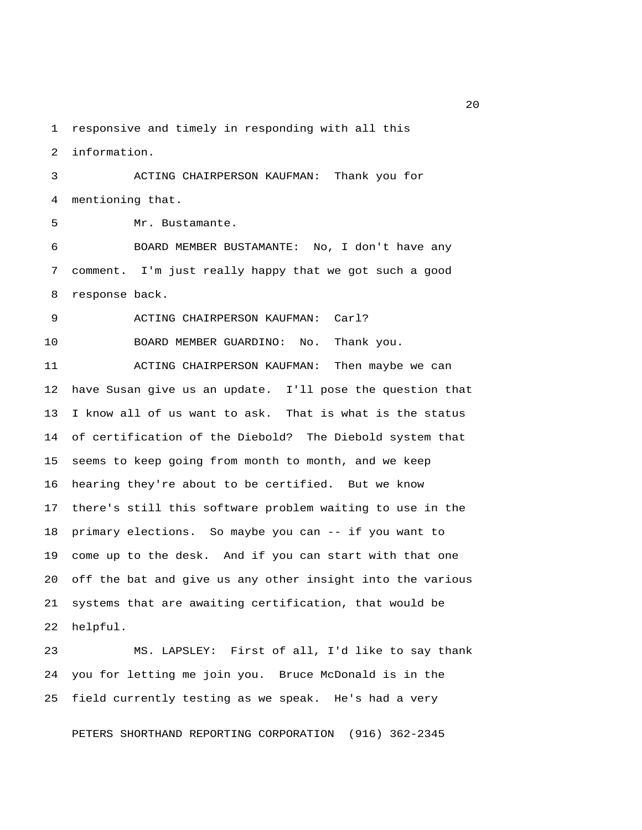1 responsive and timely in responding with all this

2 information.

 3 ACTING CHAIRPERSON KAUFMAN: Thank you for 4 mentioning that.

5 Mr. Bustamante.

 6 BOARD MEMBER BUSTAMANTE: No, I don't have any 7 comment. I'm just really happy that we got such a good 8 response back.

9 ACTING CHAIRPERSON KAUFMAN: Carl?

10 BOARD MEMBER GUARDINO: No. Thank you.

11 ACTING CHAIRPERSON KAUFMAN: Then maybe we can 12 have Susan give us an update. I'll pose the question that 13 I know all of us want to ask. That is what is the status 14 of certification of the Diebold? The Diebold system that 15 seems to keep going from month to month, and we keep 16 hearing they're about to be certified. But we know 17 there's still this software problem waiting to use in the 18 primary elections. So maybe you can -- if you want to 19 come up to the desk. And if you can start with that one 20 off the bat and give us any other insight into the various 21 systems that are awaiting certification, that would be 22 helpful.

23 MS. LAPSLEY: First of all, I'd like to say thank 24 you for letting me join you. Bruce McDonald is in the 25 field currently testing as we speak. He's had a very

PETERS SHORTHAND REPORTING CORPORATION (916) 362-2345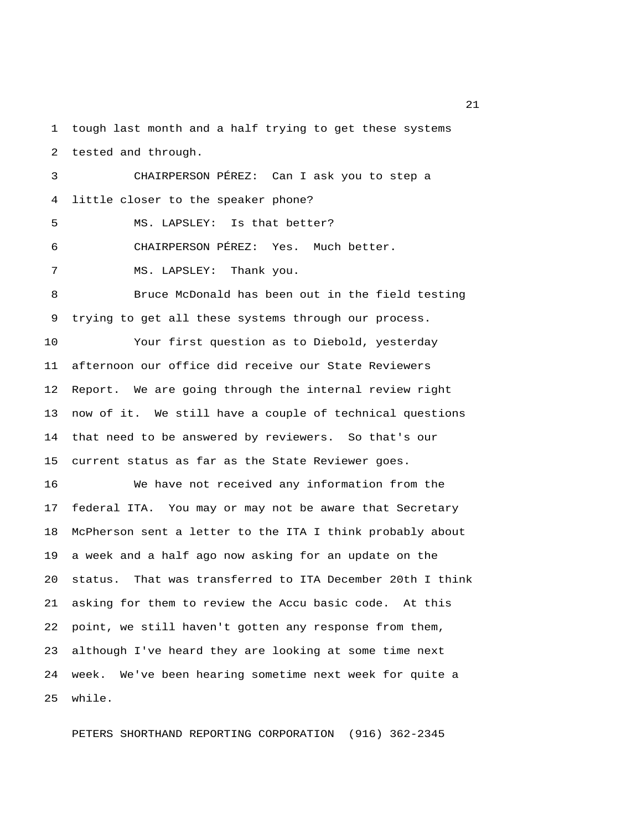1 tough last month and a half trying to get these systems 2 tested and through.

 3 CHAIRPERSON PÉREZ: Can I ask you to step a 4 little closer to the speaker phone? 5 MS. LAPSLEY: Is that better? 6 CHAIRPERSON PÉREZ: Yes. Much better. 7 MS. LAPSLEY: Thank you. 8 Bruce McDonald has been out in the field testing

9 trying to get all these systems through our process.

10 Your first question as to Diebold, yesterday 11 afternoon our office did receive our State Reviewers 12 Report. We are going through the internal review right 13 now of it. We still have a couple of technical questions 14 that need to be answered by reviewers. So that's our 15 current status as far as the State Reviewer goes.

16 We have not received any information from the 17 federal ITA. You may or may not be aware that Secretary 18 McPherson sent a letter to the ITA I think probably about 19 a week and a half ago now asking for an update on the 20 status. That was transferred to ITA December 20th I think 21 asking for them to review the Accu basic code. At this 22 point, we still haven't gotten any response from them, 23 although I've heard they are looking at some time next 24 week. We've been hearing sometime next week for quite a 25 while.

PETERS SHORTHAND REPORTING CORPORATION (916) 362-2345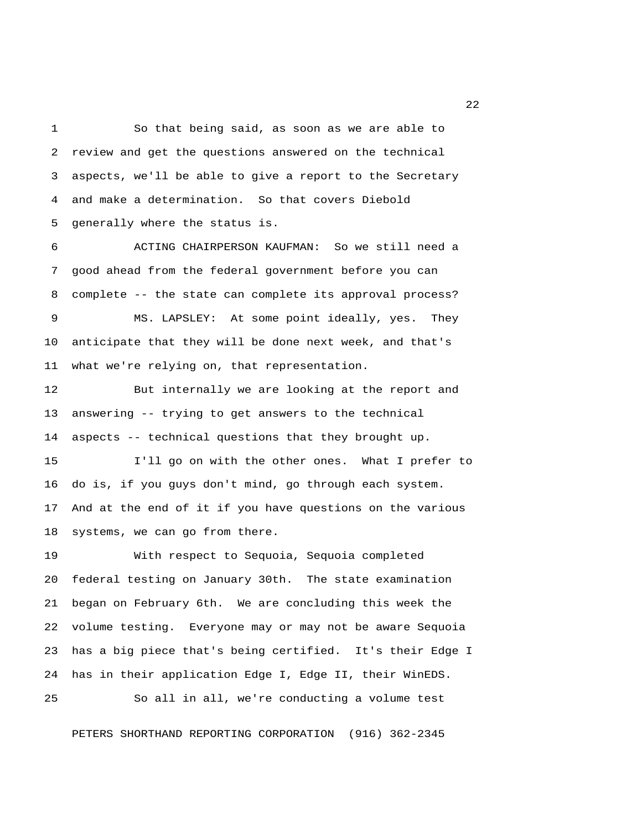1 So that being said, as soon as we are able to 2 review and get the questions answered on the technical 3 aspects, we'll be able to give a report to the Secretary 4 and make a determination. So that covers Diebold 5 generally where the status is.

 6 ACTING CHAIRPERSON KAUFMAN: So we still need a 7 good ahead from the federal government before you can 8 complete -- the state can complete its approval process? 9 MS. LAPSLEY: At some point ideally, yes. They

10 anticipate that they will be done next week, and that's 11 what we're relying on, that representation.

12 But internally we are looking at the report and 13 answering -- trying to get answers to the technical 14 aspects -- technical questions that they brought up.

15 I'll go on with the other ones. What I prefer to 16 do is, if you guys don't mind, go through each system. 17 And at the end of it if you have questions on the various 18 systems, we can go from there.

19 With respect to Sequoia, Sequoia completed 20 federal testing on January 30th. The state examination 21 began on February 6th. We are concluding this week the 22 volume testing. Everyone may or may not be aware Sequoia 23 has a big piece that's being certified. It's their Edge I 24 has in their application Edge I, Edge II, their WinEDS.

25 So all in all, we're conducting a volume test

PETERS SHORTHAND REPORTING CORPORATION (916) 362-2345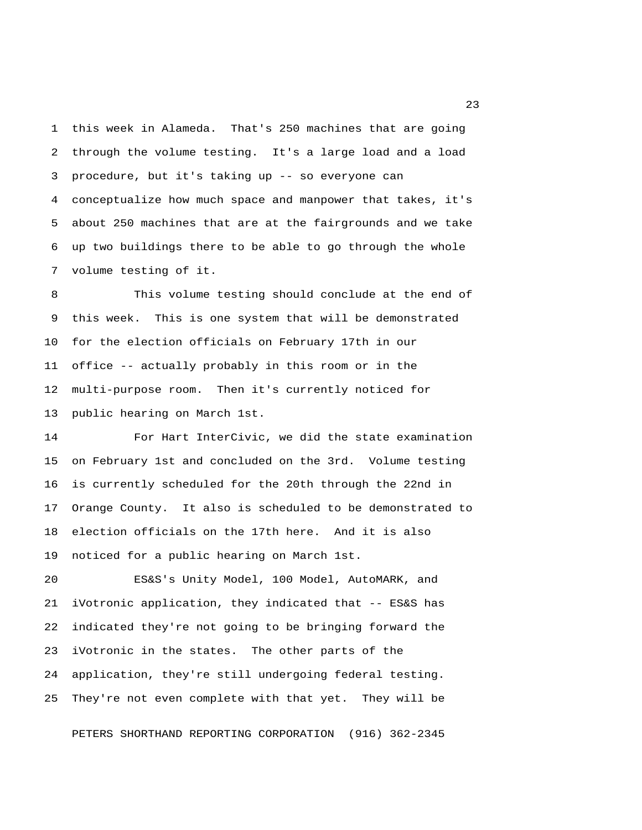1 this week in Alameda. That's 250 machines that are going 2 through the volume testing. It's a large load and a load 3 procedure, but it's taking up -- so everyone can 4 conceptualize how much space and manpower that takes, it's 5 about 250 machines that are at the fairgrounds and we take 6 up two buildings there to be able to go through the whole 7 volume testing of it.

 8 This volume testing should conclude at the end of 9 this week. This is one system that will be demonstrated 10 for the election officials on February 17th in our 11 office -- actually probably in this room or in the 12 multi-purpose room. Then it's currently noticed for 13 public hearing on March 1st.

14 For Hart InterCivic, we did the state examination 15 on February 1st and concluded on the 3rd. Volume testing 16 is currently scheduled for the 20th through the 22nd in 17 Orange County. It also is scheduled to be demonstrated to 18 election officials on the 17th here. And it is also 19 noticed for a public hearing on March 1st.

20 ES&S's Unity Model, 100 Model, AutoMARK, and 21 iVotronic application, they indicated that -- ES&S has 22 indicated they're not going to be bringing forward the 23 iVotronic in the states. The other parts of the 24 application, they're still undergoing federal testing. 25 They're not even complete with that yet. They will be

PETERS SHORTHAND REPORTING CORPORATION (916) 362-2345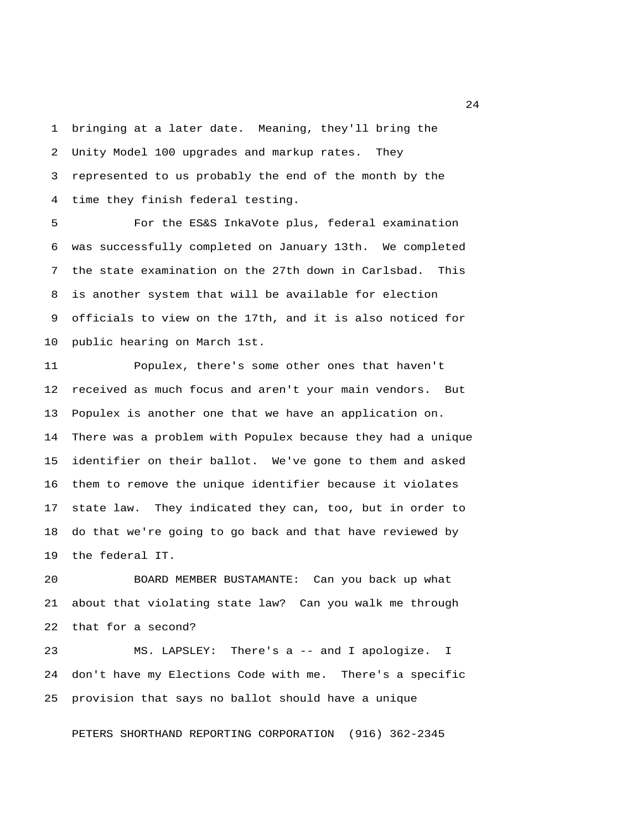1 bringing at a later date. Meaning, they'll bring the 2 Unity Model 100 upgrades and markup rates. They 3 represented to us probably the end of the month by the 4 time they finish federal testing.

 5 For the ES&S InkaVote plus, federal examination 6 was successfully completed on January 13th. We completed 7 the state examination on the 27th down in Carlsbad. This 8 is another system that will be available for election 9 officials to view on the 17th, and it is also noticed for 10 public hearing on March 1st.

11 Populex, there's some other ones that haven't 12 received as much focus and aren't your main vendors. But 13 Populex is another one that we have an application on. 14 There was a problem with Populex because they had a unique 15 identifier on their ballot. We've gone to them and asked 16 them to remove the unique identifier because it violates 17 state law. They indicated they can, too, but in order to 18 do that we're going to go back and that have reviewed by 19 the federal IT.

20 BOARD MEMBER BUSTAMANTE: Can you back up what 21 about that violating state law? Can you walk me through 22 that for a second?

23 MS. LAPSLEY: There's a -- and I apologize. I 24 don't have my Elections Code with me. There's a specific 25 provision that says no ballot should have a unique

PETERS SHORTHAND REPORTING CORPORATION (916) 362-2345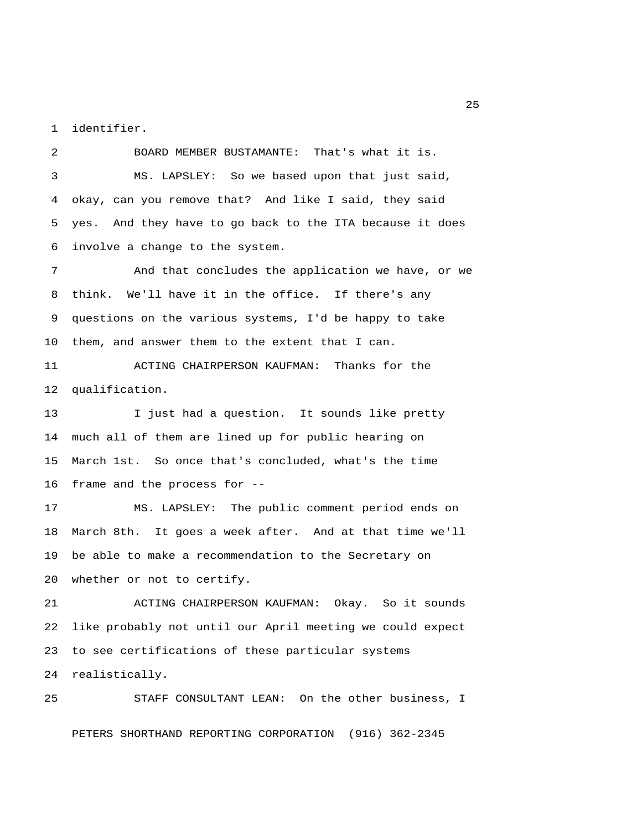1 identifier.

 2 BOARD MEMBER BUSTAMANTE: That's what it is. 3 MS. LAPSLEY: So we based upon that just said, 4 okay, can you remove that? And like I said, they said 5 yes. And they have to go back to the ITA because it does 6 involve a change to the system.

 7 And that concludes the application we have, or we 8 think. We'll have it in the office. If there's any 9 questions on the various systems, I'd be happy to take 10 them, and answer them to the extent that I can.

11 ACTING CHAIRPERSON KAUFMAN: Thanks for the 12 qualification.

13 I just had a question. It sounds like pretty 14 much all of them are lined up for public hearing on 15 March 1st. So once that's concluded, what's the time 16 frame and the process for --

17 MS. LAPSLEY: The public comment period ends on 18 March 8th. It goes a week after. And at that time we'll 19 be able to make a recommendation to the Secretary on 20 whether or not to certify.

21 ACTING CHAIRPERSON KAUFMAN: Okay. So it sounds 22 like probably not until our April meeting we could expect 23 to see certifications of these particular systems 24 realistically.

25 STAFF CONSULTANT LEAN: On the other business, I PETERS SHORTHAND REPORTING CORPORATION (916) 362-2345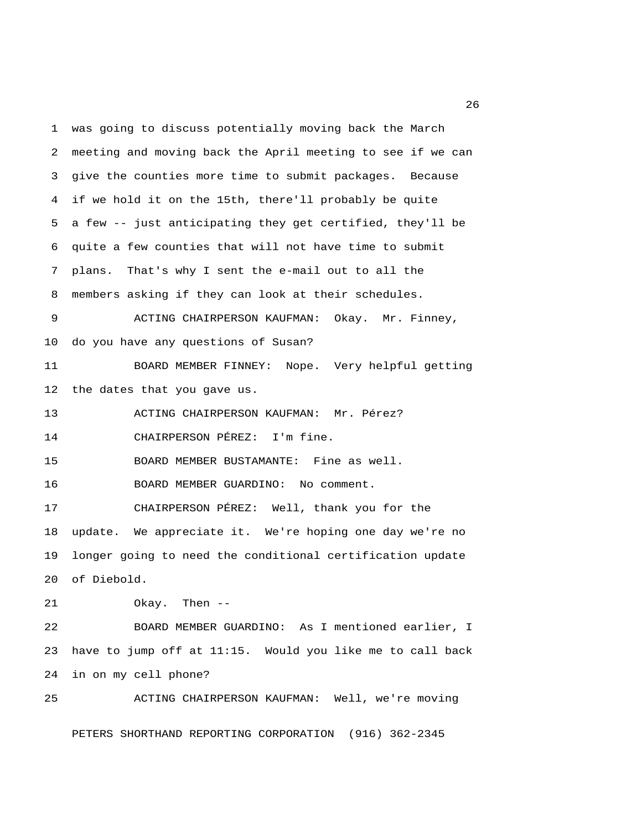1 was going to discuss potentially moving back the March 2 meeting and moving back the April meeting to see if we can 3 give the counties more time to submit packages. Because 4 if we hold it on the 15th, there'll probably be quite 5 a few -- just anticipating they get certified, they'll be 6 quite a few counties that will not have time to submit 7 plans. That's why I sent the e-mail out to all the 8 members asking if they can look at their schedules. 9 ACTING CHAIRPERSON KAUFMAN: Okay. Mr. Finney, 10 do you have any questions of Susan? 11 BOARD MEMBER FINNEY: Nope. Very helpful getting 12 the dates that you gave us. 13 ACTING CHAIRPERSON KAUFMAN: Mr. Pérez? 14 CHAIRPERSON PÉREZ: I'm fine. 15 BOARD MEMBER BUSTAMANTE: Fine as well. 16 BOARD MEMBER GUARDINO: No comment. 17 CHAIRPERSON PÉREZ: Well, thank you for the 18 update. We appreciate it. We're hoping one day we're no 19 longer going to need the conditional certification update 20 of Diebold. 21 Okay. Then -- 22 BOARD MEMBER GUARDINO: As I mentioned earlier, I

23 have to jump off at 11:15. Would you like me to call back 24 in on my cell phone?

25 ACTING CHAIRPERSON KAUFMAN: Well, we're moving PETERS SHORTHAND REPORTING CORPORATION (916) 362-2345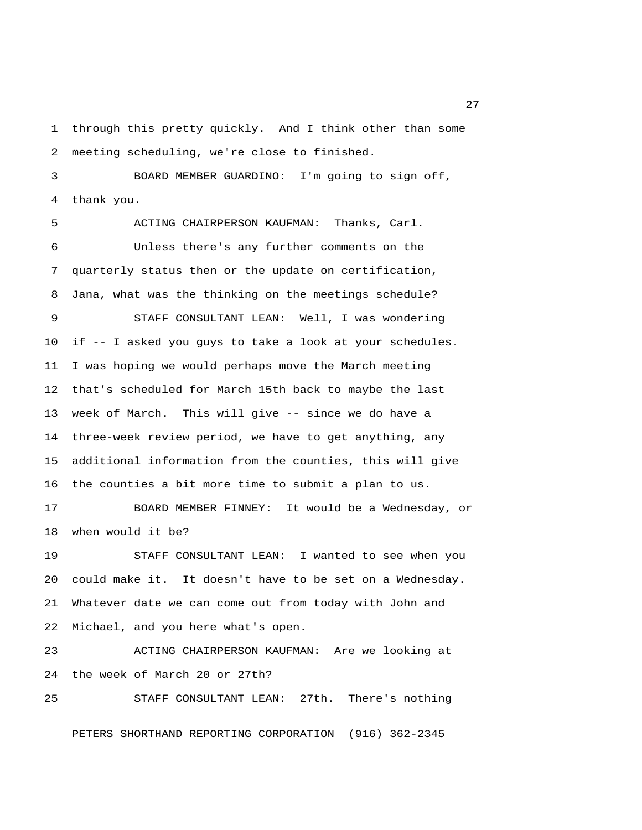1 through this pretty quickly. And I think other than some 2 meeting scheduling, we're close to finished.

 3 BOARD MEMBER GUARDINO: I'm going to sign off, 4 thank you.

 5 ACTING CHAIRPERSON KAUFMAN: Thanks, Carl. 6 Unless there's any further comments on the 7 quarterly status then or the update on certification, 8 Jana, what was the thinking on the meetings schedule?

 9 STAFF CONSULTANT LEAN: Well, I was wondering 10 if -- I asked you guys to take a look at your schedules. 11 I was hoping we would perhaps move the March meeting 12 that's scheduled for March 15th back to maybe the last 13 week of March. This will give -- since we do have a 14 three-week review period, we have to get anything, any 15 additional information from the counties, this will give 16 the counties a bit more time to submit a plan to us.

17 BOARD MEMBER FINNEY: It would be a Wednesday, or 18 when would it be?

19 STAFF CONSULTANT LEAN: I wanted to see when you 20 could make it. It doesn't have to be set on a Wednesday. 21 Whatever date we can come out from today with John and 22 Michael, and you here what's open.

23 ACTING CHAIRPERSON KAUFMAN: Are we looking at 24 the week of March 20 or 27th?

25 STAFF CONSULTANT LEAN: 27th. There's nothing

PETERS SHORTHAND REPORTING CORPORATION (916) 362-2345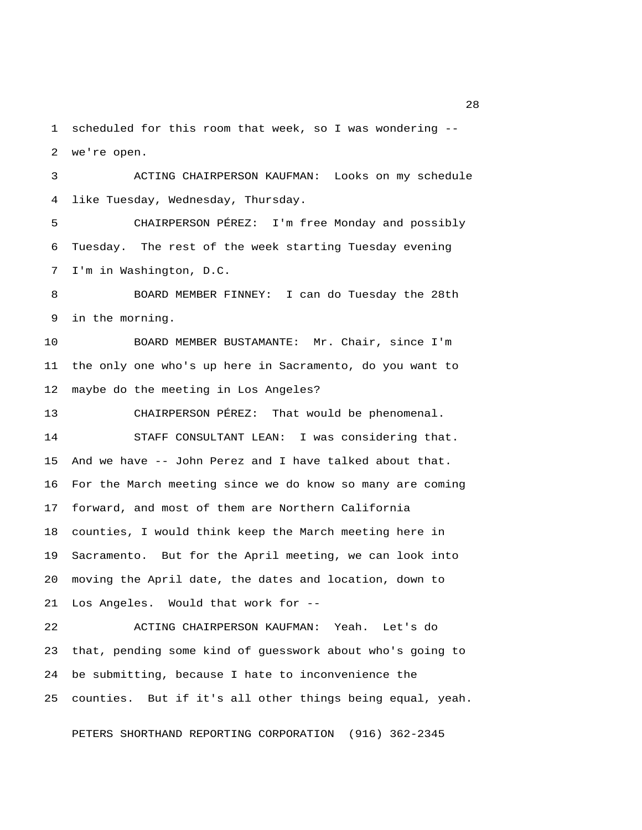1 scheduled for this room that week, so I was wondering -- 2 we're open.

 3 ACTING CHAIRPERSON KAUFMAN: Looks on my schedule 4 like Tuesday, Wednesday, Thursday.

 5 CHAIRPERSON PÉREZ: I'm free Monday and possibly 6 Tuesday. The rest of the week starting Tuesday evening 7 I'm in Washington, D.C.

 8 BOARD MEMBER FINNEY: I can do Tuesday the 28th 9 in the morning.

10 BOARD MEMBER BUSTAMANTE: Mr. Chair, since I'm 11 the only one who's up here in Sacramento, do you want to 12 maybe do the meeting in Los Angeles?

13 CHAIRPERSON PÉREZ: That would be phenomenal. 14 STAFF CONSULTANT LEAN: I was considering that. 15 And we have -- John Perez and I have talked about that. 16 For the March meeting since we do know so many are coming 17 forward, and most of them are Northern California 18 counties, I would think keep the March meeting here in 19 Sacramento. But for the April meeting, we can look into 20 moving the April date, the dates and location, down to 21 Los Angeles. Would that work for --

22 ACTING CHAIRPERSON KAUFMAN: Yeah. Let's do 23 that, pending some kind of guesswork about who's going to 24 be submitting, because I hate to inconvenience the 25 counties. But if it's all other things being equal, yeah.

PETERS SHORTHAND REPORTING CORPORATION (916) 362-2345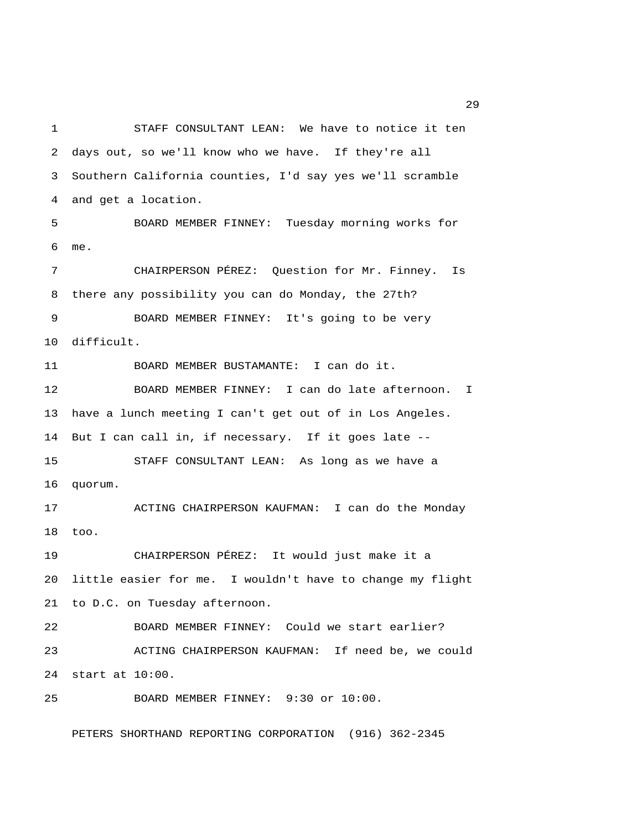1 STAFF CONSULTANT LEAN: We have to notice it ten 2 days out, so we'll know who we have. If they're all 3 Southern California counties, I'd say yes we'll scramble 4 and get a location. 5 BOARD MEMBER FINNEY: Tuesday morning works for 6 me. 7 CHAIRPERSON PÉREZ: Question for Mr. Finney. Is 8 there any possibility you can do Monday, the 27th? 9 BOARD MEMBER FINNEY: It's going to be very 10 difficult. 11 BOARD MEMBER BUSTAMANTE: I can do it. 12 BOARD MEMBER FINNEY: I can do late afternoon. I 13 have a lunch meeting I can't get out of in Los Angeles. 14 But I can call in, if necessary. If it goes late -- 15 STAFF CONSULTANT LEAN: As long as we have a 16 quorum. 17 ACTING CHAIRPERSON KAUFMAN: I can do the Monday 18 too. 19 CHAIRPERSON PÉREZ: It would just make it a 20 little easier for me. I wouldn't have to change my flight 21 to D.C. on Tuesday afternoon. 22 BOARD MEMBER FINNEY: Could we start earlier? 23 ACTING CHAIRPERSON KAUFMAN: If need be, we could 24 start at 10:00. 25 BOARD MEMBER FINNEY: 9:30 or 10:00.

PETERS SHORTHAND REPORTING CORPORATION (916) 362-2345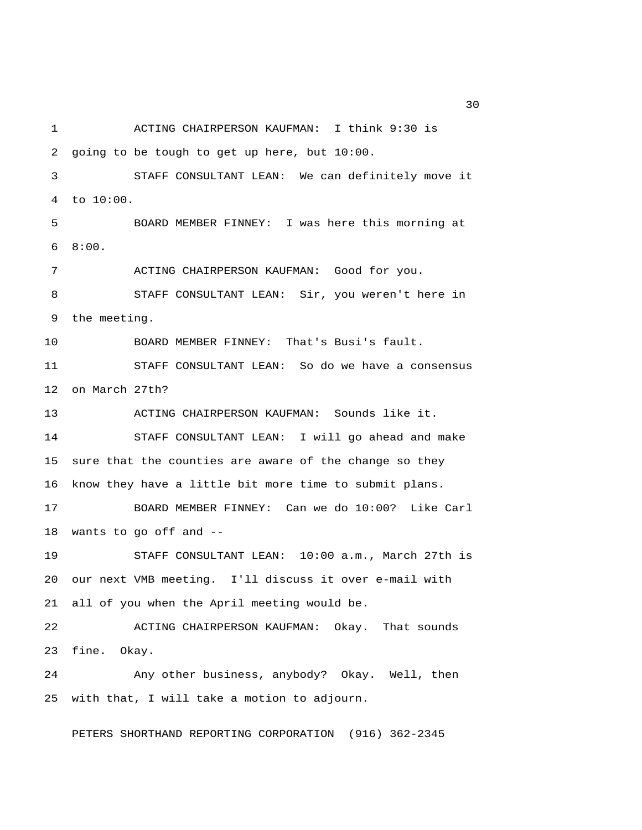1 ACTING CHAIRPERSON KAUFMAN: I think 9:30 is 2 going to be tough to get up here, but 10:00. 3 STAFF CONSULTANT LEAN: We can definitely move it 4 to 10:00. 5 BOARD MEMBER FINNEY: I was here this morning at 6 8:00. 7 ACTING CHAIRPERSON KAUFMAN: Good for you. 8 STAFF CONSULTANT LEAN: Sir, you weren't here in 9 the meeting. 10 BOARD MEMBER FINNEY: That's Busi's fault. 11 STAFF CONSULTANT LEAN: So do we have a consensus 12 on March 27th? 13 ACTING CHAIRPERSON KAUFMAN: Sounds like it. 14 STAFF CONSULTANT LEAN: I will go ahead and make 15 sure that the counties are aware of the change so they 16 know they have a little bit more time to submit plans. 17 BOARD MEMBER FINNEY: Can we do 10:00? Like Carl 18 wants to go off and -- 19 STAFF CONSULTANT LEAN: 10:00 a.m., March 27th is 20 our next VMB meeting. I'll discuss it over e-mail with 21 all of you when the April meeting would be. 22 ACTING CHAIRPERSON KAUFMAN: Okay. That sounds 23 fine. Okay. 24 Any other business, anybody? Okay. Well, then 25 with that, I will take a motion to adjourn. PETERS SHORTHAND REPORTING CORPORATION (916) 362-2345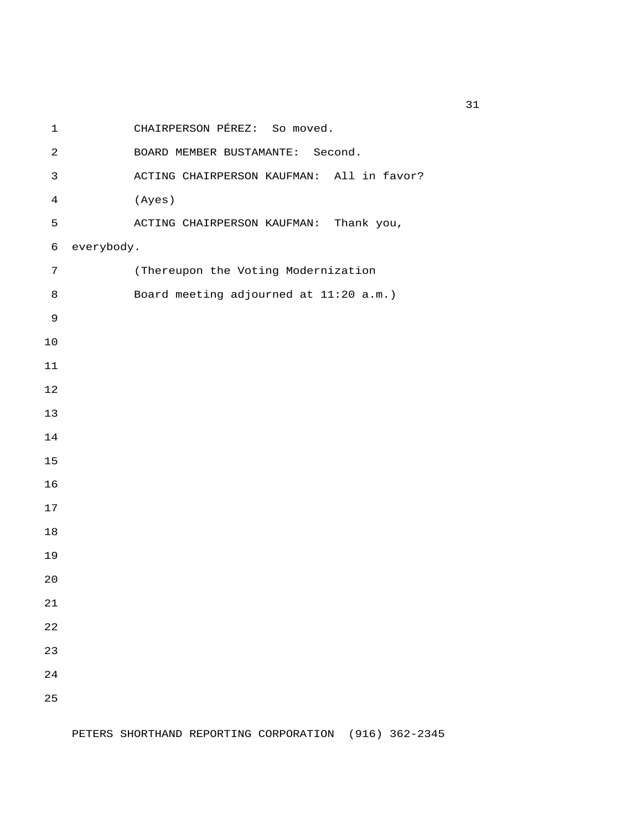1 CHAIRPERSON PÉREZ: So moved. 2 BOARD MEMBER BUSTAMANTE: Second. 3 ACTING CHAIRPERSON KAUFMAN: All in favor? 4 (Ayes) 5 ACTING CHAIRPERSON KAUFMAN: Thank you, 6 everybody. 7 (Thereupon the Voting Modernization 8 Board meeting adjourned at 11:20 a.m.)